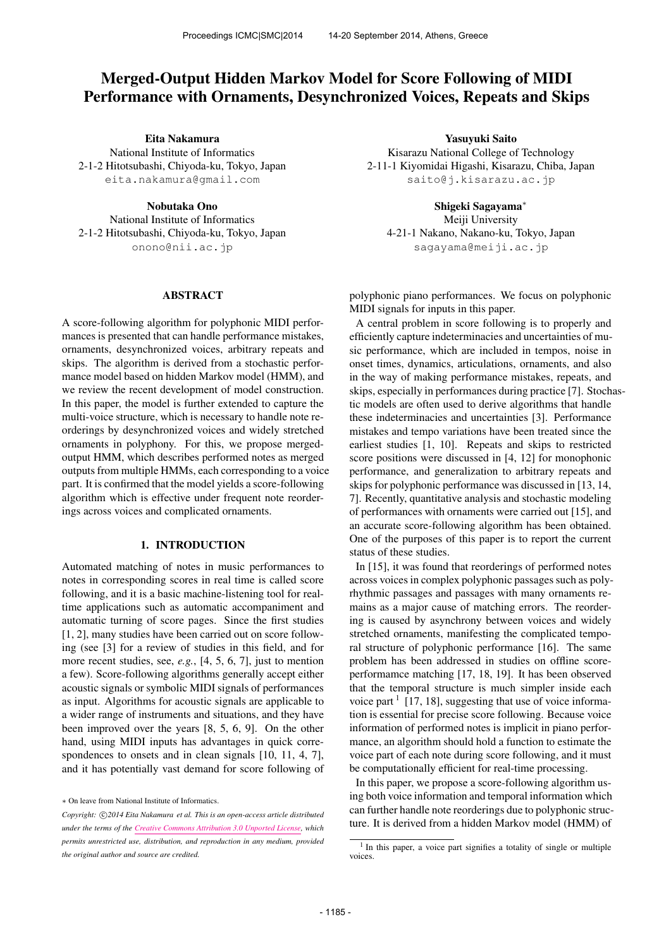# Merged-Output Hidden Markov Model for Score Following of MIDI Performance with Ornaments, Desynchronized Voices, Repeats and Skips

Eita Nakamura

National Institute of Informatics 2-1-2 Hitotsubashi, Chiyoda-ku, Tokyo, Japan [eita.nakamura@gmail.com](mailto:eita.nakamura@gmail.com)

> Nobutaka Ono National Institute of Informatics

2-1-2 Hitotsubashi, Chiyoda-ku, Tokyo, Japan [onono@nii.ac.jp](mailto:onono@nii.ac.jp)

### ABSTRACT

A score-following algorithm for polyphonic MIDI performances is presented that can handle performance mistakes, ornaments, desynchronized voices, arbitrary repeats and skips. The algorithm is derived from a stochastic performance model based on hidden Markov model (HMM), and we review the recent development of model construction. In this paper, the model is further extended to capture the multi-voice structure, which is necessary to handle note reorderings by desynchronized voices and widely stretched ornaments in polyphony. For this, we propose mergedoutput HMM, which describes performed notes as merged outputs from multiple HMMs, each corresponding to a voice part. It is confirmed that the model yields a score-following algorithm which is effective under frequent note reorderings across voices and complicated ornaments.

### 1. INTRODUCTION

Automated matching of notes in music performances to notes in corresponding scores in real time is called score following, and it is a basic machine-listening tool for realtime applications such as automatic accompaniment and automatic turning of score pages. Since the first studies [1, 2], many studies have been carried out on score following (see [3] for a review of studies in this field, and for more recent studies, see, *e.g.*, [4, 5, 6, 7], just to mention a few). Score-following algorithms generally accept either acoustic signals or symbolic MIDI signals of performances as input. Algorithms for acoustic signals are applicable to a wider range of instruments and situations, and they have been improved over the years [8, 5, 6, 9]. On the other hand, using MIDI inputs has advantages in quick correspondences to onsets and in clean signals [10, 11, 4, 7], and it has potentially vast demand for score following of

Yasuyuki Saito Kisarazu National College of Technology 2-11-1 Kiyomidai Higashi, Kisarazu, Chiba, Japan [saito@j.kisarazu.ac.jp](mailto:saito@j.kisarazu.ac.jp)

Shigeki Sagayama<sup>∗</sup>

Meiji University 4-21-1 Nakano, Nakano-ku, Tokyo, Japan [sagayama@meiji.ac.jp](mailto:sagayama@meiji.ac.jp)

polyphonic piano performances. We focus on polyphonic MIDI signals for inputs in this paper.

A central problem in score following is to properly and efficiently capture indeterminacies and uncertainties of music performance, which are included in tempos, noise in onset times, dynamics, articulations, ornaments, and also in the way of making performance mistakes, repeats, and skips, especially in performances during practice [7]. Stochastic models are often used to derive algorithms that handle these indeterminacies and uncertainties [3]. Performance mistakes and tempo variations have been treated since the earliest studies [1, 10]. Repeats and skips to restricted score positions were discussed in [4, 12] for monophonic performance, and generalization to arbitrary repeats and skips for polyphonic performance was discussed in [13, 14, 7]. Recently, quantitative analysis and stochastic modeling of performances with ornaments were carried out [15], and an accurate score-following algorithm has been obtained. One of the purposes of this paper is to report the current status of these studies.

In [15], it was found that reorderings of performed notes across voices in complex polyphonic passages such as polyrhythmic passages and passages with many ornaments remains as a major cause of matching errors. The reordering is caused by asynchrony between voices and widely stretched ornaments, manifesting the complicated temporal structure of polyphonic performance [16]. The same problem has been addressed in studies on offline scoreperformamce matching [17, 18, 19]. It has been observed that the temporal structure is much simpler inside each voice part  $1$  [17, 18], suggesting that use of voice information is essential for precise score following. Because voice information of performed notes is implicit in piano performance, an algorithm should hold a function to estimate the voice part of each note during score following, and it must be computationally efficient for real-time processing.

In this paper, we propose a score-following algorithm using both voice information and temporal information which can further handle note reorderings due to polyphonic structure. It is derived from a hidden Markov model (HMM) of

<sup>∗</sup> On leave from National Institute of Informatics.

Copyright:  $\bigcirc$ 2014 Eita Nakamura et al. This is an open-access article distributed *under the terms of the [Creative Commons Attribution 3.0 Unported License](http://creativecommons.org/licenses/by/3.0/), which permits unrestricted use, distribution, and reproduction in any medium, provided the original author and source are credited.*

<sup>&</sup>lt;sup>1</sup> In this paper, a voice part signifies a totality of single or multiple voices.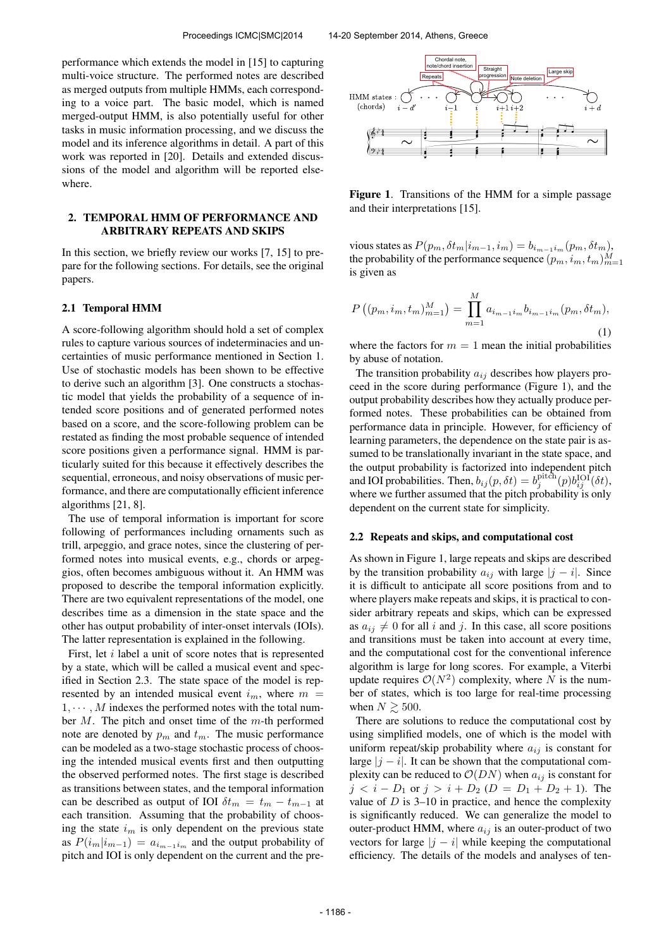performance which extends the model in [15] to capturing multi-voice structure. The performed notes are described as merged outputs from multiple HMMs, each corresponding to a voice part. The basic model, which is named merged-output HMM, is also potentially useful for other tasks in music information processing, and we discuss the model and its inference algorithms in detail. A part of this work was reported in [20]. Details and extended discussions of the model and algorithm will be reported elsewhere.

### 2. TEMPORAL HMM OF PERFORMANCE AND ARBITRARY REPEATS AND SKIPS

In this section, we briefly review our works [7, 15] to prepare for the following sections. For details, see the original papers.

#### 2.1 Temporal HMM

A score-following algorithm should hold a set of complex rules to capture various sources of indeterminacies and uncertainties of music performance mentioned in Section 1. Use of stochastic models has been shown to be effective to derive such an algorithm [3]. One constructs a stochastic model that yields the probability of a sequence of intended score positions and of generated performed notes based on a score, and the score-following problem can be restated as finding the most probable sequence of intended score positions given a performance signal. HMM is particularly suited for this because it effectively describes the sequential, erroneous, and noisy observations of music performance, and there are computationally efficient inference algorithms [21, 8].

The use of temporal information is important for score following of performances including ornaments such as trill, arpeggio, and grace notes, since the clustering of performed notes into musical events, e.g., chords or arpeggios, often becomes ambiguous without it. An HMM was proposed to describe the temporal information explicitly. There are two equivalent representations of the model, one describes time as a dimension in the state space and the other has output probability of inter-onset intervals (IOIs). The latter representation is explained in the following.

First, let *i* label a unit of score notes that is represented by a state, which will be called a musical event and specified in Section 2.3. The state space of the model is represented by an intended musical event  $i_m$ , where  $m =$  $1, \cdots, M$  indexes the performed notes with the total number  $M$ . The pitch and onset time of the  $m$ -th performed note are denoted by  $p_m$  and  $t_m$ . The music performance can be modeled as a two-stage stochastic process of choosing the intended musical events first and then outputting the observed performed notes. The first stage is described as transitions between states, and the temporal information can be described as output of IOI  $\delta t_m = t_m - t_{m-1}$  at each transition. Assuming that the probability of choosing the state  $i_m$  is only dependent on the previous state as  $P(i_m|i_{m-1}) = a_{i_{m-1}i_m}$  and the output probability of pitch and IOI is only dependent on the current and the pre-



Figure 1. Transitions of the HMM for a simple passage and their interpretations [15].

vious states as  $P(p_m, \delta t_m|i_{m-1}, i_m) = b_{i_{m-1}i_m}(p_m, \delta t_m)$ , the probability of the performance sequence  $(p_m, i_m, t_m)_{m=1}^M$ is given as

$$
P((p_m, i_m, t_m)_{m=1}^M) = \prod_{m=1}^M a_{i_{m-1}i_m} b_{i_{m-1}i_m} (p_m, \delta t_m),
$$
\n(1)

where the factors for  $m = 1$  mean the initial probabilities by abuse of notation.

The transition probability  $a_{ij}$  describes how players proceed in the score during performance (Figure 1), and the output probability describes how they actually produce performed notes. These probabilities can be obtained from performance data in principle. However, for efficiency of learning parameters, the dependence on the state pair is assumed to be translationally invariant in the state space, and the output probability is factorized into independent pitch and IOI probabilities. Then,  $b_{ij}(p, \delta t) = b_j^{\text{pitch}}(p) b_{ij}^{\text{IOI}}(\delta t)$ , where we further assumed that the pitch probability is only dependent on the current state for simplicity.

#### 2.2 Repeats and skips, and computational cost

As shown in Figure 1, large repeats and skips are described by the transition probability  $a_{ij}$  with large  $|j - i|$ . Since it is difficult to anticipate all score positions from and to where players make repeats and skips, it is practical to consider arbitrary repeats and skips, which can be expressed as  $a_{ij} \neq 0$  for all i and j. In this case, all score positions and transitions must be taken into account at every time, and the computational cost for the conventional inference algorithm is large for long scores. For example, a Viterbi update requires  $\mathcal{O}(N^2)$  complexity, where N is the number of states, which is too large for real-time processing when  $N \gtrsim 500$ .

There are solutions to reduce the computational cost by using simplified models, one of which is the model with uniform repeat/skip probability where  $a_{ij}$  is constant for large  $|j - i|$ . It can be shown that the computational complexity can be reduced to  $\mathcal{O}(DN)$  when  $a_{ij}$  is constant for  $j < i - D_1$  or  $j > i + D_2$   $(D = D_1 + D_2 + 1)$ . The value of  $D$  is 3–10 in practice, and hence the complexity is significantly reduced. We can generalize the model to outer-product HMM, where  $a_{ij}$  is an outer-product of two vectors for large  $|j - i|$  while keeping the computational efficiency. The details of the models and analyses of ten-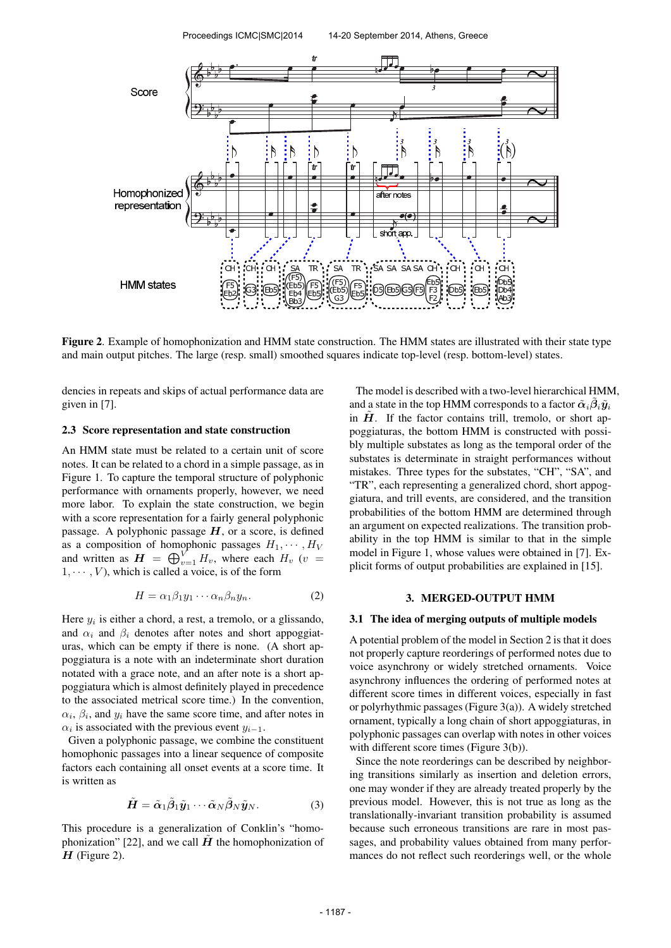

Figure 2. Example of homophonization and HMM state construction. The HMM states are illustrated with their state type and main output pitches. The large (resp. small) smoothed squares indicate top-level (resp. bottom-level) states.

dencies in repeats and skips of actual performance data are given in [7].

### 2.3 Score representation and state construction

An HMM state must be related to a certain unit of score notes. It can be related to a chord in a simple passage, as in Figure 1. To capture the temporal structure of polyphonic performance with ornaments properly, however, we need more labor. To explain the state construction, we begin with a score representation for a fairly general polyphonic passage. A polyphonic passage  $H$ , or a score, is defined as a composition of homophonic passages  $H_1, \cdots, H_V$ and written as  $\mathbf{H} = \bigoplus_{v=1}^{V} H_v$ , where each  $H_v$  (v =  $1, \dots, V$ , which is called a voice, is of the form

$$
H = \alpha_1 \beta_1 y_1 \cdots \alpha_n \beta_n y_n. \tag{2}
$$

Here  $y_i$  is either a chord, a rest, a tremolo, or a glissando, and  $\alpha_i$  and  $\beta_i$  denotes after notes and short appoggiaturas, which can be empty if there is none. (A short appoggiatura is a note with an indeterminate short duration notated with a grace note, and an after note is a short appoggiatura which is almost definitely played in precedence to the associated metrical score time.) In the convention,  $\alpha_i$ ,  $\beta_i$ , and  $y_i$  have the same score time, and after notes in  $\alpha_i$  is associated with the previous event  $y_{i-1}$ .

Given a polyphonic passage, we combine the constituent homophonic passages into a linear sequence of composite factors each containing all onset events at a score time. It is written as

$$
\tilde{H} = \tilde{\alpha}_1 \tilde{\beta}_1 \tilde{y}_1 \cdots \tilde{\alpha}_N \tilde{\beta}_N \tilde{y}_N. \tag{3}
$$

This procedure is a generalization of Conklin's "homophonization" [22], and we call  $\hat{H}$  the homophonization of  $H$  (Figure 2).

The model is described with a two-level hierarchical HMM, and a state in the top HMM corresponds to a factor  $\tilde{\alpha}_i\tilde{\beta}_i\tilde{y}_i$ in  $\hat{H}$ . If the factor contains trill, tremolo, or short appoggiaturas, the bottom HMM is constructed with possibly multiple substates as long as the temporal order of the substates is determinate in straight performances without mistakes. Three types for the substates, "CH", "SA", and "TR", each representing a generalized chord, short appoggiatura, and trill events, are considered, and the transition probabilities of the bottom HMM are determined through an argument on expected realizations. The transition probability in the top HMM is similar to that in the simple model in Figure 1, whose values were obtained in [7]. Explicit forms of output probabilities are explained in [15].

### 3. MERGED-OUTPUT HMM

### 3.1 The idea of merging outputs of multiple models

A potential problem of the model in Section 2 is that it does not properly capture reorderings of performed notes due to voice asynchrony or widely stretched ornaments. Voice asynchrony influences the ordering of performed notes at different score times in different voices, especially in fast or polyrhythmic passages (Figure 3(a)). A widely stretched ornament, typically a long chain of short appoggiaturas, in polyphonic passages can overlap with notes in other voices with different score times (Figure 3(b)).

Since the note reorderings can be described by neighboring transitions similarly as insertion and deletion errors, one may wonder if they are already treated properly by the previous model. However, this is not true as long as the translationally-invariant transition probability is assumed because such erroneous transitions are rare in most passages, and probability values obtained from many performances do not reflect such reorderings well, or the whole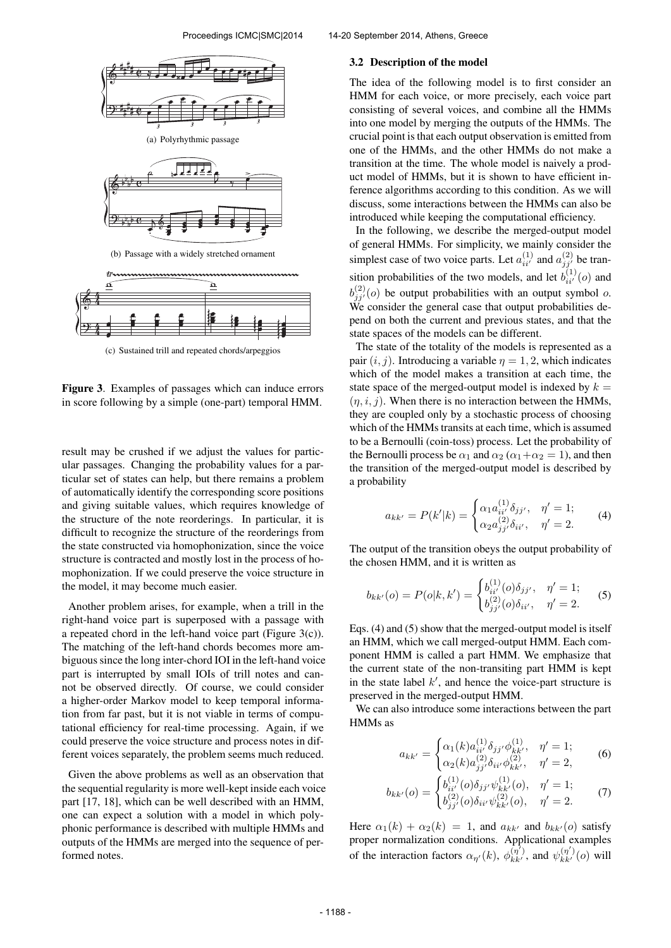

(c) Sustained trill and repeated chords/arpeggios

Figure 3. Examples of passages which can induce errors in score following by a simple (one-part) temporal HMM.

result may be crushed if we adjust the values for particular passages. Changing the probability values for a particular set of states can help, but there remains a problem of automatically identify the corresponding score positions and giving suitable values, which requires knowledge of the structure of the note reorderings. In particular, it is difficult to recognize the structure of the reorderings from the state constructed via homophonization, since the voice structure is contracted and mostly lost in the process of homophonization. If we could preserve the voice structure in the model, it may become much easier.

Another problem arises, for example, when a trill in the right-hand voice part is superposed with a passage with a repeated chord in the left-hand voice part (Figure 3(c)). The matching of the left-hand chords becomes more ambiguous since the long inter-chord IOI in the left-hand voice part is interrupted by small IOIs of trill notes and cannot be observed directly. Of course, we could consider a higher-order Markov model to keep temporal information from far past, but it is not viable in terms of computational efficiency for real-time processing. Again, if we could preserve the voice structure and process notes in different voices separately, the problem seems much reduced.

Given the above problems as well as an observation that the sequential regularity is more well-kept inside each voice part [17, 18], which can be well described with an HMM, one can expect a solution with a model in which polyphonic performance is described with multiple HMMs and outputs of the HMMs are merged into the sequence of performed notes.

#### 3.2 Description of the model

The idea of the following model is to first consider an HMM for each voice, or more precisely, each voice part consisting of several voices, and combine all the HMMs into one model by merging the outputs of the HMMs. The crucial point is that each output observation is emitted from one of the HMMs, and the other HMMs do not make a transition at the time. The whole model is naively a product model of HMMs, but it is shown to have efficient inference algorithms according to this condition. As we will discuss, some interactions between the HMMs can also be introduced while keeping the computational efficiency.

In the following, we describe the merged-output model of general HMMs. For simplicity, we mainly consider the simplest case of two voice parts. Let  $a_{ii'}^{(1)}$  and  $a_{jj'}^{(2)}$  be transition probabilities of the two models, and let  $b_{ii'}^{(1)}(o)$  and  $b_{j,j'}^{(2)}(o)$  be output probabilities with an output symbol o. We consider the general case that output probabilities depend on both the current and previous states, and that the state spaces of the models can be different.

The state of the totality of the models is represented as a pair  $(i, j)$ . Introducing a variable  $\eta = 1, 2$ , which indicates which of the model makes a transition at each time, the state space of the merged-output model is indexed by  $k =$  $(\eta, i, j)$ . When there is no interaction between the HMMs, they are coupled only by a stochastic process of choosing which of the HMMs transits at each time, which is assumed to be a Bernoulli (coin-toss) process. Let the probability of the Bernoulli process be  $\alpha_1$  and  $\alpha_2$  ( $\alpha_1 + \alpha_2 = 1$ ), and then the transition of the merged-output model is described by a probability

$$
a_{kk'} = P(k'|k) = \begin{cases} \alpha_1 a_{ii'}^{(1)} \delta_{jj'}, & \eta' = 1; \\ \alpha_2 a_{jj'}^{(2)} \delta_{ii'}, & \eta' = 2. \end{cases}
$$
 (4)

The output of the transition obeys the output probability of the chosen HMM, and it is written as

$$
b_{kk'}(o) = P(o|k, k') = \begin{cases} b_{ii'}^{(1)}(o)\delta_{jj'}, & \eta' = 1; \\ b_{jj'}^{(2)}(o)\delta_{ii'}, & \eta' = 2. \end{cases}
$$
 (5)

Eqs. (4) and (5) show that the merged-output model is itself an HMM, which we call merged-output HMM. Each component HMM is called a part HMM. We emphasize that the current state of the non-transiting part HMM is kept in the state label  $k'$ , and hence the voice-part structure is preserved in the merged-output HMM.

We can also introduce some interactions between the part HMMs as

$$
a_{kk'} = \begin{cases} \alpha_1(k)a_{ii'}^{(1)} \delta_{jj'} \phi_{kk'}^{(1)}, & \eta' = 1; \\ \alpha_2(k)a_{jj'}^{(2)} \delta_{ii'} \phi_{kk'}^{(2)}, & \eta' = 2, \end{cases}
$$
 (6)

$$
b_{kk'}(o) = \begin{cases} b_{ii'}^{(1)}(o)\delta_{jj'}\psi_{kk'}^{(1)}(o), & \eta' = 1; \\ b_{jj'}^{(2)}(o)\delta_{ii'}\psi_{kk'}^{(2)}(o), & \eta' = 2. \end{cases}
$$
 (7)

Here  $\alpha_1(k) + \alpha_2(k) = 1$ , and  $a_{kk'}$  and  $b_{kk'}(o)$  satisfy proper normalization conditions. Applicational examples of the interaction factors  $\alpha_{\eta'}(k)$ ,  $\phi_{kk'}^{(\eta')}$ , and  $\psi_{kk'}^{(\eta')}(o)$  will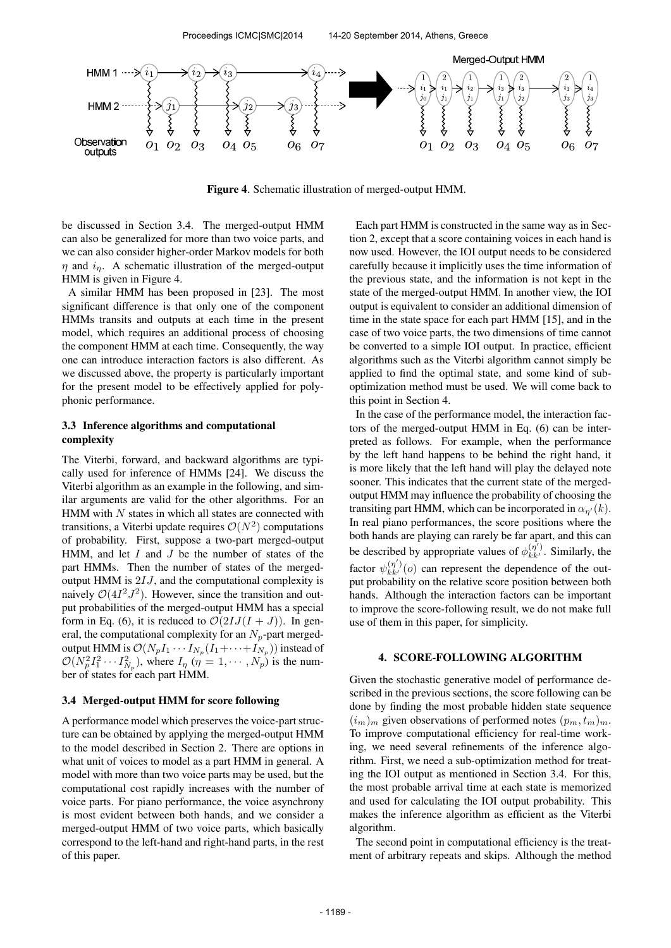

Figure 4. Schematic illustration of merged-output HMM.

be discussed in Section 3.4. The merged-output HMM can also be generalized for more than two voice parts, and we can also consider higher-order Markov models for both  $\eta$  and  $i_n$ . A schematic illustration of the merged-output HMM is given in Figure 4.

A similar HMM has been proposed in [23]. The most significant difference is that only one of the component HMMs transits and outputs at each time in the present model, which requires an additional process of choosing the component HMM at each time. Consequently, the way one can introduce interaction factors is also different. As we discussed above, the property is particularly important for the present model to be effectively applied for polyphonic performance.

# 3.3 Inference algorithms and computational complexity

The Viterbi, forward, and backward algorithms are typically used for inference of HMMs [24]. We discuss the Viterbi algorithm as an example in the following, and similar arguments are valid for the other algorithms. For an HMM with  $N$  states in which all states are connected with transitions, a Viterbi update requires  $\mathcal{O}(N^2)$  computations of probability. First, suppose a two-part merged-output HMM, and let  $I$  and  $J$  be the number of states of the part HMMs. Then the number of states of the mergedoutput HMM is  $2IJ$ , and the computational complexity is naively  $O(4I^2J^2)$ . However, since the transition and output probabilities of the merged-output HMM has a special form in Eq. (6), it is reduced to  $\mathcal{O}(2IJ(I+J))$ . In general, the computational complexity for an  $N_p$ -part mergedoutput HMM is  $\mathcal{O}(N_p I_1 \cdots I_{N_p}(I_1 + \cdots + I_{N_p}))$  instead of  $\mathcal{O}(N_p^2 I_1^2 \cdots I_{N_p}^2)$ , where  $I_{\eta}$   $(\eta = 1, \cdots, N_p)$  is the number of states for each part HMM.

# 3.4 Merged-output HMM for score following

A performance model which preserves the voice-part structure can be obtained by applying the merged-output HMM to the model described in Section 2. There are options in what unit of voices to model as a part HMM in general. A model with more than two voice parts may be used, but the computational cost rapidly increases with the number of voice parts. For piano performance, the voice asynchrony is most evident between both hands, and we consider a merged-output HMM of two voice parts, which basically correspond to the left-hand and right-hand parts, in the rest of this paper.

Each part HMM is constructed in the same way as in Section 2, except that a score containing voices in each hand is now used. However, the IOI output needs to be considered carefully because it implicitly uses the time information of the previous state, and the information is not kept in the state of the merged-output HMM. In another view, the IOI output is equivalent to consider an additional dimension of time in the state space for each part HMM [15], and in the case of two voice parts, the two dimensions of time cannot be converted to a simple IOI output. In practice, efficient algorithms such as the Viterbi algorithm cannot simply be applied to find the optimal state, and some kind of suboptimization method must be used. We will come back to this point in Section 4.

In the case of the performance model, the interaction factors of the merged-output HMM in Eq. (6) can be interpreted as follows. For example, when the performance by the left hand happens to be behind the right hand, it is more likely that the left hand will play the delayed note sooner. This indicates that the current state of the mergedoutput HMM may influence the probability of choosing the transiting part HMM, which can be incorporated in  $\alpha_{n'}(k)$ . In real piano performances, the score positions where the both hands are playing can rarely be far apart, and this can be described by appropriate values of  $\phi_{kk'}^{(\eta')}$ . Similarly, the factor  $\psi_{kk'}^{(\eta')}(o)$  can represent the dependence of the output probability on the relative score position between both hands. Although the interaction factors can be important to improve the score-following result, we do not make full use of them in this paper, for simplicity.

### 4. SCORE-FOLLOWING ALGORITHM

Given the stochastic generative model of performance described in the previous sections, the score following can be done by finding the most probable hidden state sequence  $(i_m)_m$  given observations of performed notes  $(p_m, t_m)_m$ . To improve computational efficiency for real-time working, we need several refinements of the inference algorithm. First, we need a sub-optimization method for treating the IOI output as mentioned in Section 3.4. For this, the most probable arrival time at each state is memorized and used for calculating the IOI output probability. This makes the inference algorithm as efficient as the Viterbi algorithm.

The second point in computational efficiency is the treatment of arbitrary repeats and skips. Although the method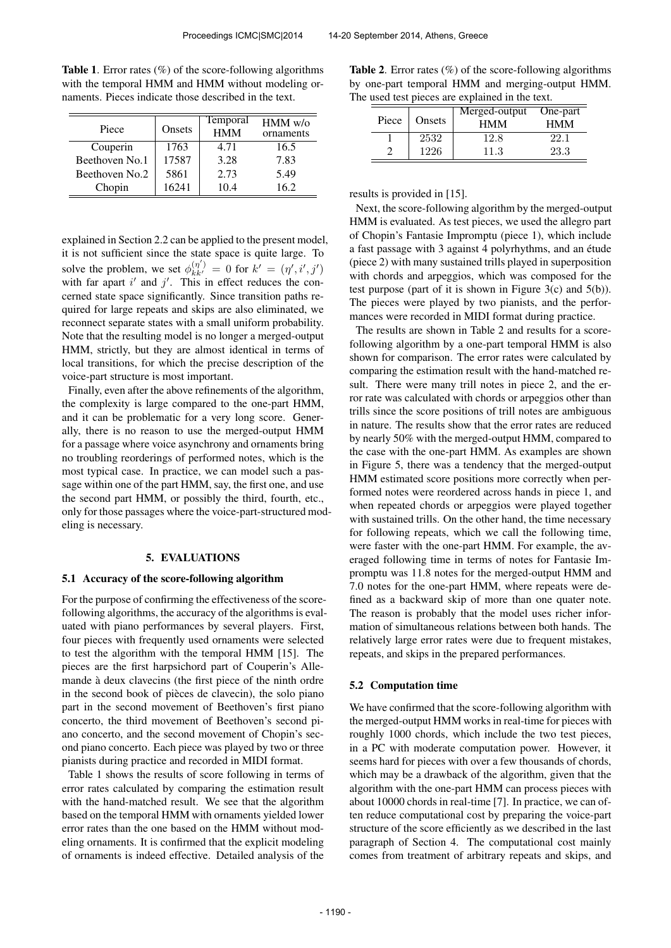| Piece          | Onsets | <b>Temporal</b><br><b>HMM</b> | $HMM$ w/o<br>ornaments |  |
|----------------|--------|-------------------------------|------------------------|--|
| Couperin       | 1763   | 4.71                          | 16.5                   |  |
| Beethoven No.1 | 17587  | 3.28                          | 7.83                   |  |
| Beethoven No.2 | 5861   | 2.73                          | 5.49                   |  |
| Chopin         | 16241  | 10.4                          | 16.2                   |  |

**Table 1.** Error rates  $(\%)$  of the score-following algorithms with the temporal HMM and HMM without modeling ornaments. Pieces indicate those described in the text.

explained in Section 2.2 can be applied to the present model, it is not sufficient since the state space is quite large. To solve the problem, we set  $\phi_{kk'}^{(\eta')} = 0$  for  $k' = (\eta', i', j')$ with far apart  $i'$  and  $j'$ . This in effect reduces the concerned state space significantly. Since transition paths required for large repeats and skips are also eliminated, we reconnect separate states with a small uniform probability. Note that the resulting model is no longer a merged-output HMM, strictly, but they are almost identical in terms of local transitions, for which the precise description of the voice-part structure is most important.

Finally, even after the above refinements of the algorithm, the complexity is large compared to the one-part HMM, and it can be problematic for a very long score. Generally, there is no reason to use the merged-output HMM for a passage where voice asynchrony and ornaments bring no troubling reorderings of performed notes, which is the most typical case. In practice, we can model such a passage within one of the part HMM, say, the first one, and use the second part HMM, or possibly the third, fourth, etc., only for those passages where the voice-part-structured modeling is necessary.

#### 5. EVALUATIONS

### 5.1 Accuracy of the score-following algorithm

For the purpose of confirming the effectiveness of the scorefollowing algorithms, the accuracy of the algorithms is evaluated with piano performances by several players. First, four pieces with frequently used ornaments were selected to test the algorithm with the temporal HMM [15]. The pieces are the first harpsichord part of Couperin's Allemande à deux clavecins (the first piece of the ninth ordre in the second book of pièces de clavecin), the solo piano part in the second movement of Beethoven's first piano concerto, the third movement of Beethoven's second piano concerto, and the second movement of Chopin's second piano concerto. Each piece was played by two or three pianists during practice and recorded in MIDI format.

Table 1 shows the results of score following in terms of error rates calculated by comparing the estimation result with the hand-matched result. We see that the algorithm based on the temporal HMM with ornaments yielded lower error rates than the one based on the HMM without modeling ornaments. It is confirmed that the explicit modeling of ornaments is indeed effective. Detailed analysis of the

Table 2. Error rates (%) of the score-following algorithms by one-part temporal HMM and merging-output HMM. The used test pieces are explained in the text.

| Piece | Onsets | Merged-output<br><b>HMM</b> | One-part<br><b>HMM</b> |
|-------|--------|-----------------------------|------------------------|
|       | 2532   | 12.8                        | 22.1                   |
|       | 1226   | 11.3                        | 23.3                   |

results is provided in [15].

Next, the score-following algorithm by the merged-output HMM is evaluated. As test pieces, we used the allegro part of Chopin's Fantasie Impromptu (piece 1), which include a fast passage with 3 against 4 polyrhythms, and an étude (piece 2) with many sustained trills played in superposition with chords and arpeggios, which was composed for the test purpose (part of it is shown in Figure 3(c) and  $5(b)$ ). The pieces were played by two pianists, and the performances were recorded in MIDI format during practice.

The results are shown in Table 2 and results for a scorefollowing algorithm by a one-part temporal HMM is also shown for comparison. The error rates were calculated by comparing the estimation result with the hand-matched result. There were many trill notes in piece 2, and the error rate was calculated with chords or arpeggios other than trills since the score positions of trill notes are ambiguous in nature. The results show that the error rates are reduced by nearly 50% with the merged-output HMM, compared to the case with the one-part HMM. As examples are shown in Figure 5, there was a tendency that the merged-output HMM estimated score positions more correctly when performed notes were reordered across hands in piece 1, and when repeated chords or arpeggios were played together with sustained trills. On the other hand, the time necessary for following repeats, which we call the following time, were faster with the one-part HMM. For example, the averaged following time in terms of notes for Fantasie Impromptu was 11.8 notes for the merged-output HMM and 7.0 notes for the one-part HMM, where repeats were defined as a backward skip of more than one quater note. The reason is probably that the model uses richer information of simultaneous relations between both hands. The relatively large error rates were due to frequent mistakes, repeats, and skips in the prepared performances.

#### 5.2 Computation time

We have confirmed that the score-following algorithm with the merged-output HMM works in real-time for pieces with roughly 1000 chords, which include the two test pieces, in a PC with moderate computation power. However, it seems hard for pieces with over a few thousands of chords, which may be a drawback of the algorithm, given that the algorithm with the one-part HMM can process pieces with about 10000 chords in real-time [7]. In practice, we can often reduce computational cost by preparing the voice-part structure of the score efficiently as we described in the last paragraph of Section 4. The computational cost mainly comes from treatment of arbitrary repeats and skips, and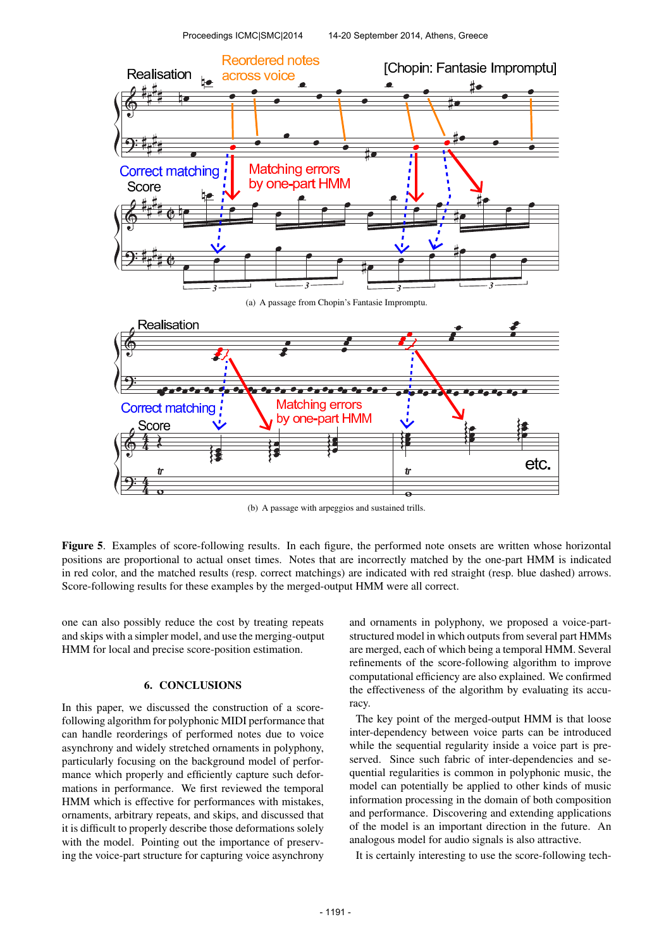

(b) A passage with arpeggios and sustained trills.

Figure 5. Examples of score-following results. In each figure, the performed note onsets are written whose horizontal positions are proportional to actual onset times. Notes that are incorrectly matched by the one-part HMM is indicated in red color, and the matched results (resp. correct matchings) are indicated with red straight (resp. blue dashed) arrows. Score-following results for these examples by the merged-output HMM were all correct.

one can also possibly reduce the cost by treating repeats and skips with a simpler model, and use the merging-output HMM for local and precise score-position estimation.

### 6. CONCLUSIONS

In this paper, we discussed the construction of a scorefollowing algorithm for polyphonic MIDI performance that can handle reorderings of performed notes due to voice asynchrony and widely stretched ornaments in polyphony, particularly focusing on the background model of performance which properly and efficiently capture such deformations in performance. We first reviewed the temporal HMM which is effective for performances with mistakes, ornaments, arbitrary repeats, and skips, and discussed that it is difficult to properly describe those deformations solely with the model. Pointing out the importance of preserving the voice-part structure for capturing voice asynchrony

and ornaments in polyphony, we proposed a voice-partstructured model in which outputs from several part HMMs are merged, each of which being a temporal HMM. Several refinements of the score-following algorithm to improve computational efficiency are also explained. We confirmed the effectiveness of the algorithm by evaluating its accuracy.

The key point of the merged-output HMM is that loose inter-dependency between voice parts can be introduced while the sequential regularity inside a voice part is preserved. Since such fabric of inter-dependencies and sequential regularities is common in polyphonic music, the model can potentially be applied to other kinds of music information processing in the domain of both composition and performance. Discovering and extending applications of the model is an important direction in the future. An analogous model for audio signals is also attractive.

It is certainly interesting to use the score-following tech-